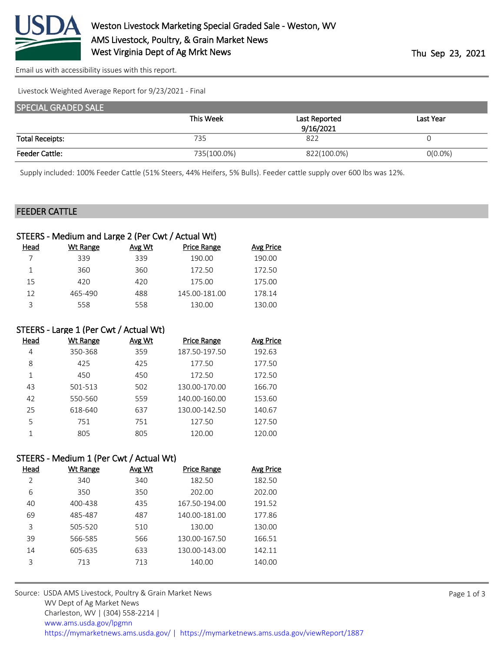

[Email us with accessibility issues with this report.](mailto:mars@ams.usda.gov?subject=508%20issue)

Livestock Weighted Average Report for 9/23/2021 - Final

| <b>SPECIAL GRADED SALE</b> |             |               |            |
|----------------------------|-------------|---------------|------------|
|                            | This Week   | Last Reported | Last Year  |
|                            |             | 9/16/2021     |            |
| <b>Total Receipts:</b>     | 735         | 822           |            |
| <b>Feeder Cattle:</b>      | 735(100.0%) | 822(100.0%)   | $O(0.0\%)$ |

Supply included: 100% Feeder Cattle (51% Steers, 44% Heifers, 5% Bulls). Feeder cattle supply over 600 lbs was 12%.

### FEEDER CATTLE

|      | STEERS - Medium and Large 2 (Per Cwt / Actual Wt) |        |                    |           |
|------|---------------------------------------------------|--------|--------------------|-----------|
| Head | Wt Range                                          | Avg Wt | <b>Price Range</b> | Avg Price |
|      | 339                                               | 339    | 190.00             | 190.00    |
|      | 360                                               | 360    | 172.50             | 172.50    |
| 15   | 420                                               | 420    | 175.00             | 175.00    |
| 12   | 465-490                                           | 488    | 145.00-181.00      | 178.14    |
| ς    | 558                                               | 558    | 130.00             | 130.00    |

#### STEERS - Large 1 (Per Cwt / Actual Wt)

| Head | Wt Range | Avg Wt | <b>Price Range</b> | Avg Price |
|------|----------|--------|--------------------|-----------|
| 4    | 350-368  | 359    | 187.50-197.50      | 192.63    |
| 8    | 425      | 425    | 177.50             | 177.50    |
| 1    | 450      | 450    | 172.50             | 172.50    |
| 43   | 501-513  | 502    | 130.00-170.00      | 166.70    |
| 42   | 550-560  | 559    | 140.00-160.00      | 153.60    |
| 25   | 618-640  | 637    | 130.00-142.50      | 140.67    |
| 5    | 751      | 751    | 127.50             | 127.50    |
|      | 805      | 805    | 120.00             | 120.00    |

## STEERS - Medium 1 (Per Cwt / Actual Wt)

| Head | <b>Wt Range</b> | Avg Wt | <b>Price Range</b> | <b>Avg Price</b> |
|------|-----------------|--------|--------------------|------------------|
| 2    | 340             | 340    | 182.50             | 182.50           |
| 6    | 350             | 350    | 202.00             | 202.00           |
| 40   | 400-438         | 435    | 167.50-194.00      | 191.52           |
| 69   | 485-487         | 487    | 140.00-181.00      | 177.86           |
| 3    | 505-520         | 510    | 130.00             | 130.00           |
| 39   | 566-585         | 566    | 130.00-167.50      | 166.51           |
| 14   | 605-635         | 633    | 130.00-143.00      | 142.11           |
| 3    | 713             | 713    | 140.00             | 140.00           |
|      |                 |        |                    |                  |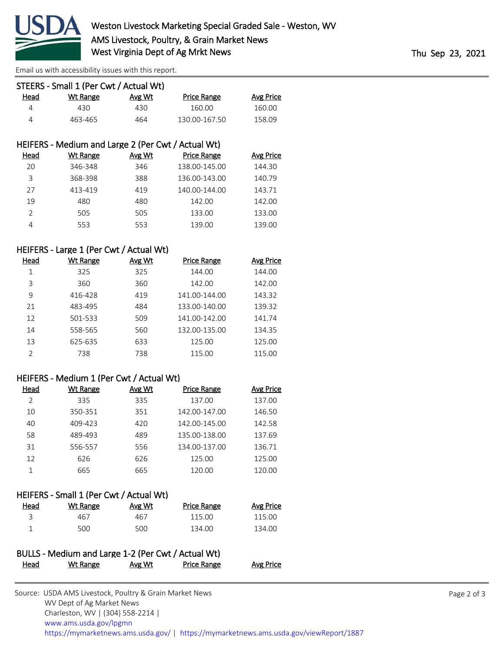

[Email us with accessibility issues with this report.](mailto:mars@ams.usda.gov?subject=508%20issue)

|      | STEERS - Small 1 (Per Cwt / Actual Wt) |        |               |           |
|------|----------------------------------------|--------|---------------|-----------|
| Head | Wt Range                               | Avg Wt | Price Range   | Avg Price |
| Δ    | 430.                                   | 430    | 160.00        | 160.00    |
| Δ    | 463-465                                | 464    | 130.00-167.50 | 158.09    |

## HEIFERS - Medium and Large 2 (Per Cwt / Actual Wt)

| Head | Wt Range | Avg Wt | Price Range   | Avg Price |
|------|----------|--------|---------------|-----------|
| 20   | 346-348  | 346    | 138.00-145.00 | 144.30    |
| 3    | 368-398  | 388    | 136.00-143.00 | 140.79    |
| 27   | 413-419  | 419    | 140.00-144.00 | 143.71    |
| 19   | 480      | 480    | 142.00        | 142.00    |
|      | 505      | 505    | 133.00        | 133.00    |
|      | 553      | 553    | 139.00        | 139.00    |

## HEIFERS - Large 1 (Per Cwt / Actual Wt)

| Head          | Wt Range | Avg Wt | <b>Price Range</b> | Avg Price |
|---------------|----------|--------|--------------------|-----------|
| 1             | 325      | 325    | 144.00             | 144.00    |
| 3             | 360      | 360    | 142.00             | 142.00    |
| 9             | 416-428  | 419    | 141.00-144.00      | 143.32    |
| 21            | 483-495  | 484    | 133.00-140.00      | 139.32    |
| 12            | 501-533  | 509    | 141.00-142.00      | 141.74    |
| 14            | 558-565  | 560    | 132.00-135.00      | 134.35    |
| 13            | 625-635  | 633    | 125.00             | 125.00    |
| $\mathcal{P}$ | 738      | 738    | 115.00             | 115.00    |

### HEIFERS - Medium 1 (Per Cwt / Actual Wt)

| Head | Wt Range | Avg Wt | <b>Price Range</b> | Avg Price |
|------|----------|--------|--------------------|-----------|
|      | 335      | 335    | 137.00             | 137.00    |
| 10   | 350-351  | 351    | 142.00-147.00      | 146.50    |
| 40   | 409-423  | 420    | 142.00-145.00      | 142.58    |
| 58   | 489-493  | 489    | 135.00-138.00      | 137.69    |
| 31   | 556-557  | 556    | 134.00-137.00      | 136.71    |
| 12   | 626      | 626    | 125.00             | 125.00    |
|      | 665      | 665    | 120.00             | 120.00    |

## HEIFERS - Small 1 (Per Cwt / Actual Wt)

| Head | Wt Range | Avg Wt | <b>Price Range</b> | Avg Price |
|------|----------|--------|--------------------|-----------|
|      | 467      | 467    | 115.00             | 115.00    |
|      | 500      | 500    | 134.00             | 134.00    |

|      | BULLS - Medium and Large 1-2 (Per Cwt / Actual Wt) |        |             |           |
|------|----------------------------------------------------|--------|-------------|-----------|
| Head | <u>Wt Range</u>                                    | Avg Wt | Price Range | Avg Price |